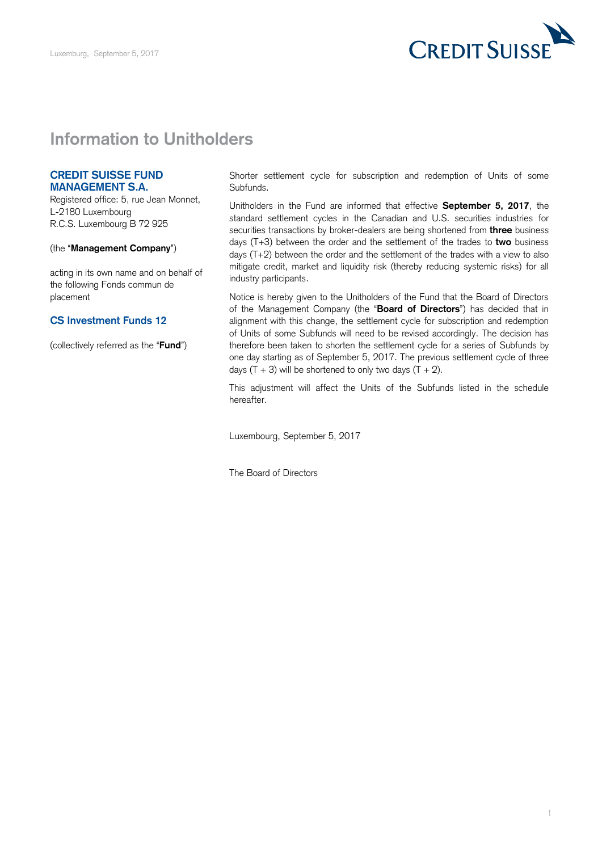

## **Information to Unitholders**

## **CREDIT SUISSE FUND MANAGEMENT S.A.**

 Registered office: 5, rue Jean Monnet, L-2180 Luxembourg R.C.S. Luxembourg B 72 925

## (the "**Management Company**")

 acting in its own name and on behalf of the following Fonds commun de placement

## **CS Investment Funds 12**

(collectively referred as the "**Fund**")

 Shorter settlement cycle for subscription and redemption of Units of some Subfunds.

 Unitholders in the Fund are informed that effective **September 5, 2017**, the standard settlement cycles in the Canadian and U.S. securities industries for securities transactions by broker-dealers are being shortened from **three** business days (T+3) between the order and the settlement of the trades to **two** business days (T+2) between the order and the settlement of the trades with a view to also mitigate credit, market and liquidity risk (thereby reducing systemic risks) for all industry participants.

 Notice is hereby given to the Unitholders of the Fund that the Board of Directors of the Management Company (the "**Board of Directors**") has decided that in alignment with this change, the settlement cycle for subscription and redemption of Units of some Subfunds will need to be revised accordingly. The decision has therefore been taken to shorten the settlement cycle for a series of Subfunds by one day starting as of September 5, 2017. The previous settlement cycle of three days  $(T + 3)$  will be shortened to only two days  $(T + 2)$ .

 This adjustment will affect the Units of the Subfunds listed in the schedule hereafter.

Luxembourg, September 5, 2017

The Board of Directors